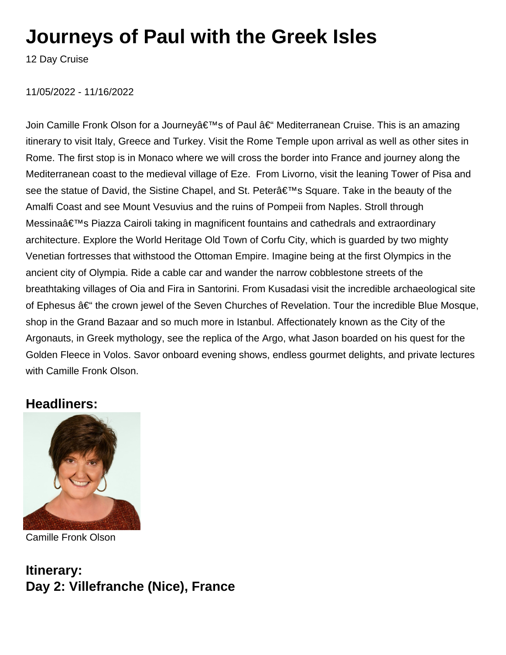# **Journeys of Paul with the Greek Isles**

12 Day Cruise

#### 11/05/2022 - 11/16/2022

Join Camille Fronk Olson for a Journeyâ€<sup>™</sup>s of Paul †Mediterranean Cruise. This is an amazing itinerary to visit Italy, Greece and Turkey. Visit the Rome Temple upon arrival as well as other sites in Rome. The first stop is in Monaco where we will cross the border into France and journey along the Mediterranean coast to the medieval village of Eze. From Livorno, visit the leaning Tower of Pisa and see the statue of David, the Sistine Chapel, and St. Petera <sup>€™</sup>s Square. Take in the beauty of the Amalfi Coast and see Mount Vesuvius and the ruins of Pompeii from Naples. Stroll through Messinaâ€<sup>™</sup>s Piazza Cairoli taking in magnificent fountains and cathedrals and extraordinary architecture. Explore the World Heritage Old Town of Corfu City, which is guarded by two mighty Venetian fortresses that withstood the Ottoman Empire. Imagine being at the first Olympics in the ancient city of Olympia. Ride a cable car and wander the narrow cobblestone streets of the breathtaking villages of Oia and Fira in Santorini. From Kusadasi visit the incredible archaeological site of Ephesus – the crown jewel of the Seven Churches of Revelation. Tour the incredible Blue Mosque, shop in the Grand Bazaar and so much more in Istanbul. Affectionately known as the City of the Argonauts, in Greek mythology, see the replica of the Argo, what Jason boarded on his quest for the Golden Fleece in Volos. Savor onboard evening shows, endless gourmet delights, and private lectures with Camille Fronk Olson.

#### **Headliners:**



Camille Fronk Olson

**Itinerary: Day 2: Villefranche (Nice), France**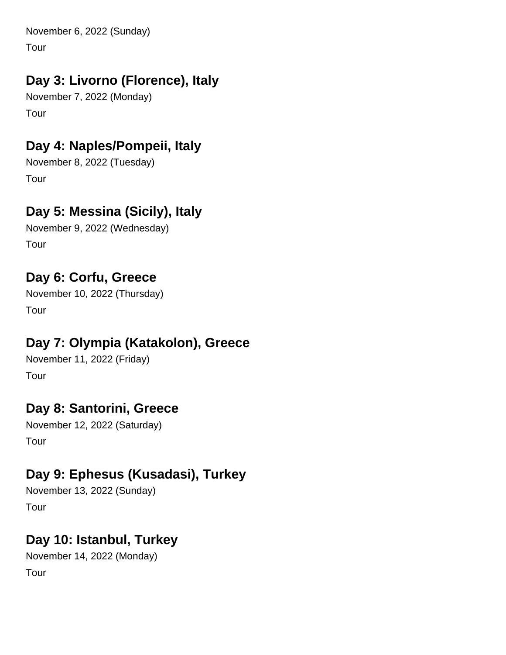November 6, 2022 (Sunday)

Tour

# **Day 3: Livorno (Florence), Italy**

November 7, 2022 (Monday) Tour

# **Day 4: Naples/Pompeii, Italy**

November 8, 2022 (Tuesday) Tour

# **Day 5: Messina (Sicily), Italy**

November 9, 2022 (Wednesday) Tour

# **Day 6: Corfu, Greece**

November 10, 2022 (Thursday) Tour

# **Day 7: Olympia (Katakolon), Greece**

November 11, 2022 (Friday) Tour

### **Day 8: Santorini, Greece**

November 12, 2022 (Saturday) Tour

# **Day 9: Ephesus (Kusadasi), Turkey**

November 13, 2022 (Sunday) Tour

### **Day 10: Istanbul, Turkey**

November 14, 2022 (Monday) Tour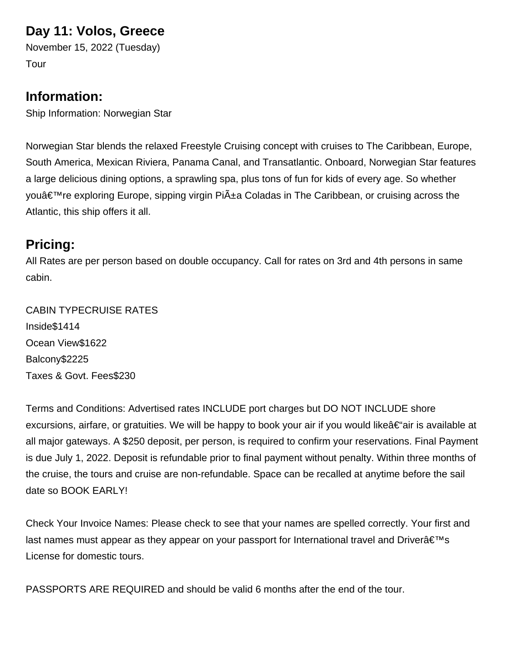#### **Day 11: Volos, Greece**

November 15, 2022 (Tuesday) Tour

#### **Information:**

Ship Information: Norwegian Star

Norwegian Star blends the relaxed Freestyle Cruising concept with cruises to The Caribbean, Europe, South America, Mexican Riviera, Panama Canal, and Transatlantic. Onboard, Norwegian Star features a large delicious dining options, a sprawling spa, plus tons of fun for kids of every age. So whether youâ€<sup>™</sup>re exploring Europe, sipping virgin Piña Coladas in The Caribbean, or cruising across the Atlantic, this ship offers it all.

### **Pricing:**

All Rates are per person based on double occupancy. Call for rates on 3rd and 4th persons in same cabin.

CABIN TYPE CRUISE RATES Inside \$1414 Ocean View \$1622 Balcony \$2225 Taxes & Govt. Fees \$230

Terms and Conditions: Advertised rates INCLUDE port charges but DO NOT INCLUDE shore excursions, airfare, or gratuities. We will be happy to book your air if you would like  $\hat{\epsilon}$  air is available at all major gateways. A \$250 deposit, per person, is required to confirm your reservations. Final Payment is due July 1, 2022. Deposit is refundable prior to final payment without penalty. Within three months of the cruise, the tours and cruise are non-refundable. Space can be recalled at anytime before the sail date so BOOK EARLY!

Check Your Invoice Names: Please check to see that your names are spelled correctly. Your first and last names must appear as they appear on your passport for International travel and Driver $\hat{\mathbf{a}} \in \mathbb{N}$ s License for domestic tours.

PASSPORTS ARE REQUIRED and should be valid 6 months after the end of the tour.